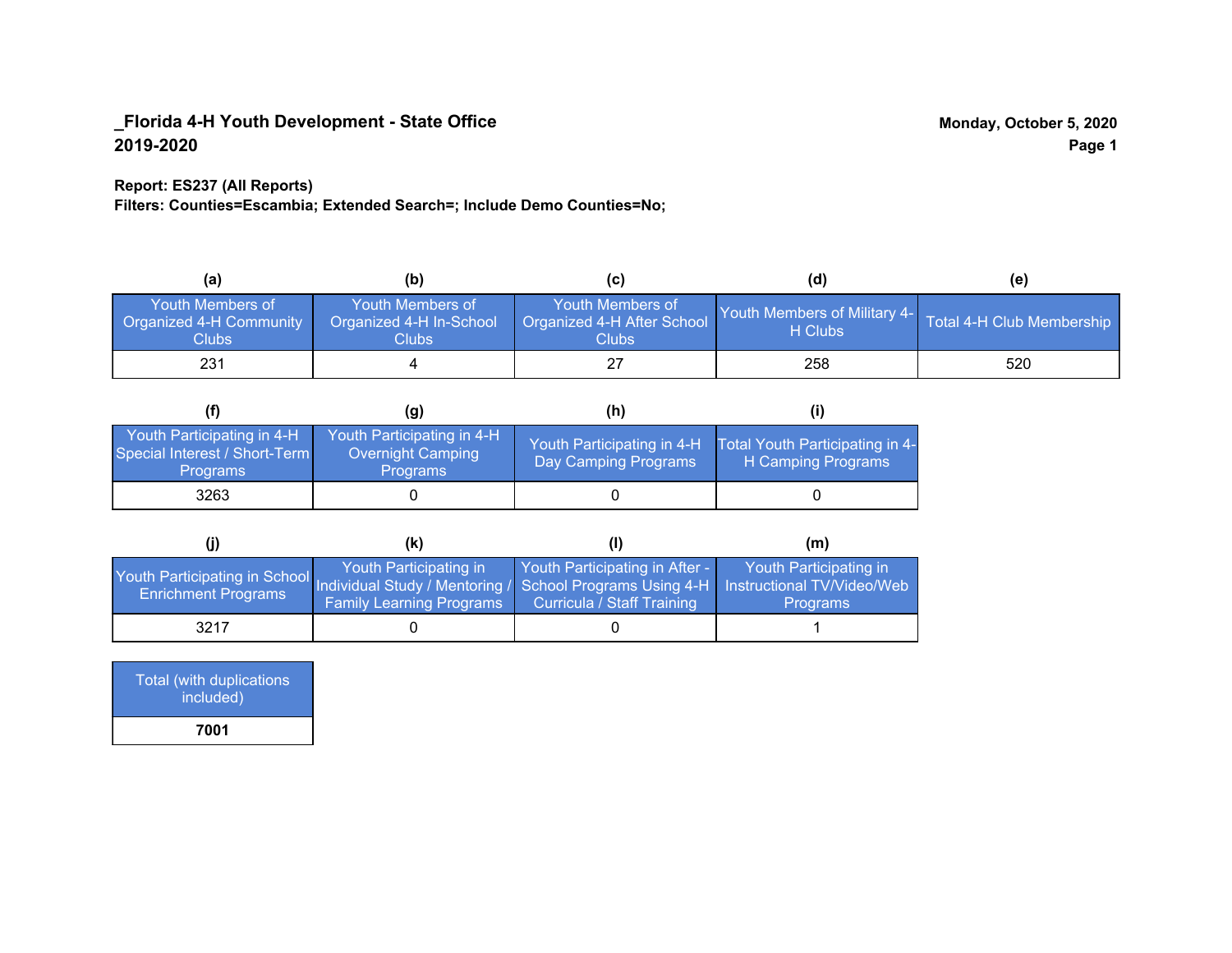### **Report: ES237 (All Reports)**

**Filters: Counties=Escambia; Extended Search=; Include Demo Counties=No;**

| (a)                                                                | (b)                                                  |                                                                | (d)                                     | (e)                       |
|--------------------------------------------------------------------|------------------------------------------------------|----------------------------------------------------------------|-----------------------------------------|---------------------------|
| Youth Members of<br><b>Organized 4-H Community</b><br><b>Clubs</b> | Youth Members of<br>Organized 4-H In-School<br>Clubs | Youth Members of<br>Organized 4-H After School<br><b>Clubs</b> | Youth Members of Military 4-<br>H Clubs | Total 4-H Club Membership |
| 231                                                                |                                                      |                                                                | 258                                     | 520                       |

|                                                                                | (g)                                                                       | (h)                                                |                                                       |
|--------------------------------------------------------------------------------|---------------------------------------------------------------------------|----------------------------------------------------|-------------------------------------------------------|
| Youth Participating in 4-H<br>Special Interest / Short-Term<br><b>Programs</b> | Youth Participating in 4-H<br><b>Overnight Camping</b><br><b>Programs</b> | Youth Participating in 4-H<br>Day Camping Programs | Total Youth Participating in 4-<br>H Camping Programs |
| 3263                                                                           |                                                                           |                                                    |                                                       |

|                                                                                                                                                   | (K)                                                       |                                                                     | (m)                                       |
|---------------------------------------------------------------------------------------------------------------------------------------------------|-----------------------------------------------------------|---------------------------------------------------------------------|-------------------------------------------|
| Youth Participating in School Individual Study / Mentoring / School Programs Using 4-H   Instructional TV/Video/Web<br><b>Enrichment Programs</b> | Youth Participating in<br><b>Family Learning Programs</b> | Youth Participating in After -<br><b>Curricula / Staff Training</b> | Youth Participating in<br><b>Programs</b> |
| 3217                                                                                                                                              |                                                           |                                                                     |                                           |

| Total (with duplications<br>included) |  |
|---------------------------------------|--|
| 7001                                  |  |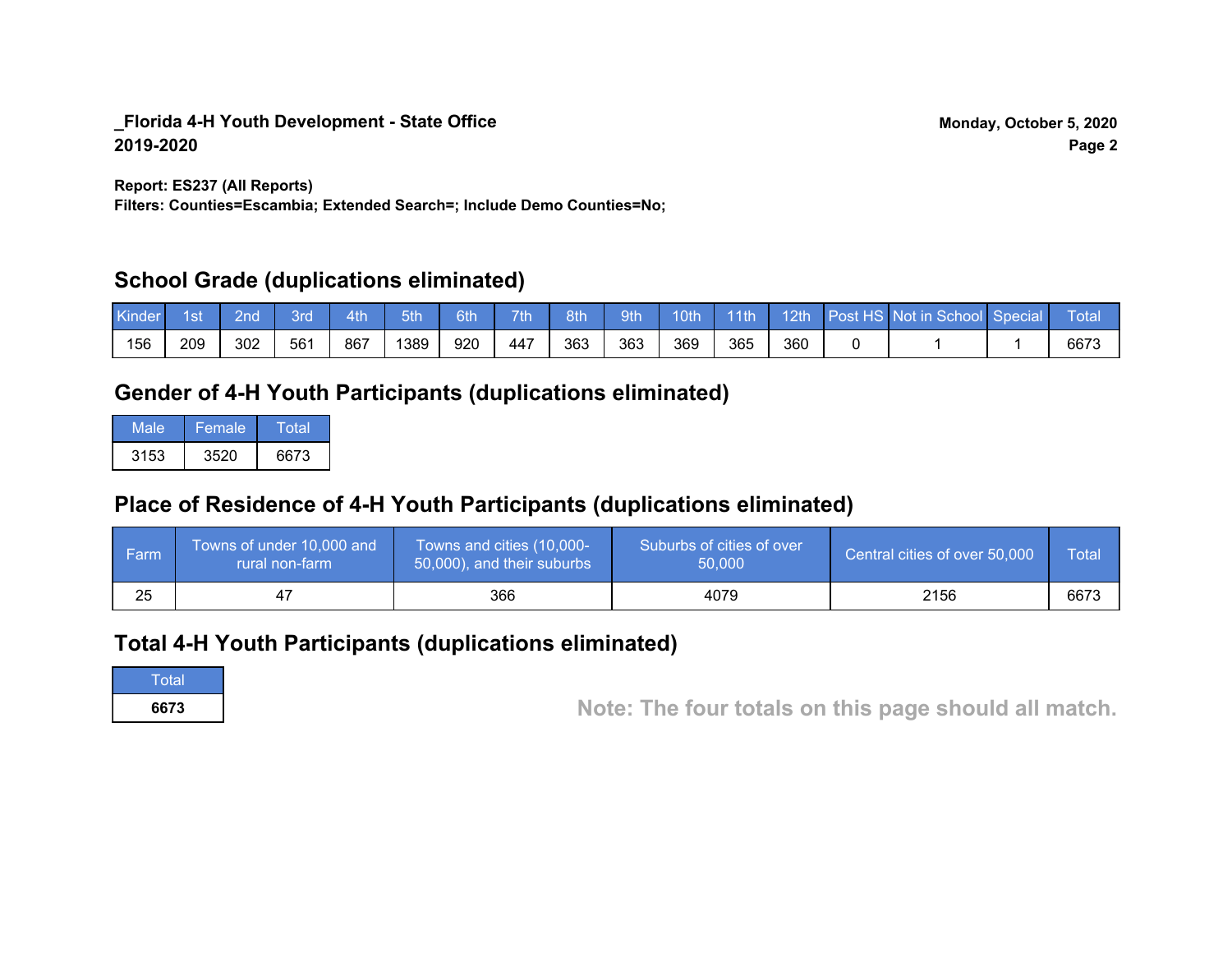**Report: ES237 (All Reports)**

**Filters: Counties=Escambia; Extended Search=; Include Demo Counties=No;**

## **School Grade (duplications eliminated)**

| Kinder | l st | 2nd\ | 3rd | 4th | 5th | 6th | 7th | 8th | 9th | 10th' | $-11$ th | 12 <sub>th</sub> | Post HS Not in School Special | <b>Total</b> |
|--------|------|------|-----|-----|-----|-----|-----|-----|-----|-------|----------|------------------|-------------------------------|--------------|
| 156    | 209  | 302  | 561 | 867 | 389 | 920 | 447 | 363 | 363 | 369   | 365      | 360              |                               | 6673         |

# **Gender of 4-H Youth Participants (duplications eliminated)**

| Male | 'Female. | Total |
|------|----------|-------|
| 3153 | 3520     | 6673  |

# **Place of Residence of 4-H Youth Participants (duplications eliminated)**

| l Farm | Towns of under 10,000 and<br>rural non-farm | Towns and cities (10,000-<br>50,000), and their suburbs | Suburbs of cities of over<br>50,000 | Central cities of over 50,000 | Total |
|--------|---------------------------------------------|---------------------------------------------------------|-------------------------------------|-------------------------------|-------|
| 25     | 4                                           | 366                                                     | 4079                                | 2156                          | 6673  |

## **Total 4-H Youth Participants (duplications eliminated)**

**Total** 

**<sup>6673</sup> Note: The four totals on this page should all match.**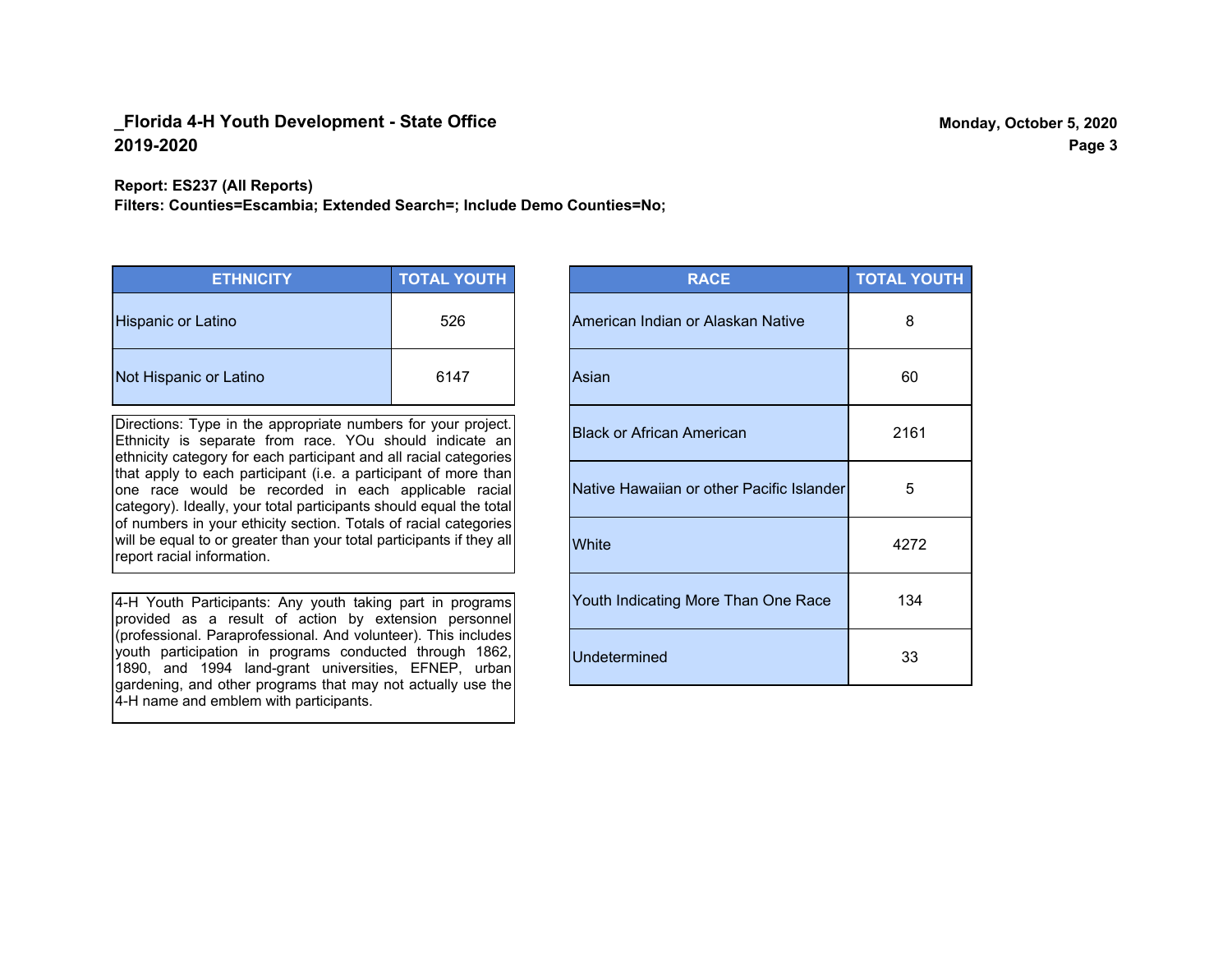#### **Report: ES237 (All Reports)**

**Filters: Counties=Escambia; Extended Search=; Include Demo Counties=No;**

| <b>ETHNICITY</b>       | <b>TOTAL YOUTH</b> |
|------------------------|--------------------|
| Hispanic or Latino     | 526                |
| Not Hispanic or Latino | 6147               |

Directions: Type in the appropriate numbers for your project. Ethnicity is separate from race. YOu should indicate an ethnicity category for each participant and all racial categories that apply to each participant (i.e. a participant of more than one race would be recorded in each applicable racial category). Ideally, your total participants should equal the total of numbers in your ethicity section. Totals of racial categories will be equal to or greater than your total participants if they all report racial information.

4-H Youth Participants: Any youth taking part in programs provided as a result of action by extension personnel (professional. Paraprofessional. And volunteer). This includes youth participation in programs conducted through 1862, 1890, and 1994 land-grant universities, EFNEP, urban gardening, and other programs that may not actually use the 4-H name and emblem with participants.

| <b>RACE</b>                               | <b>TOTAL YOUTH</b> |
|-------------------------------------------|--------------------|
| American Indian or Alaskan Native         | 8                  |
| Asian                                     | 60                 |
| <b>Black or African American</b>          | 2161               |
| Native Hawaiian or other Pacific Islander | 5                  |
| White                                     | 4272               |
| Youth Indicating More Than One Race       | 134                |
| <b>Undetermined</b>                       | 33                 |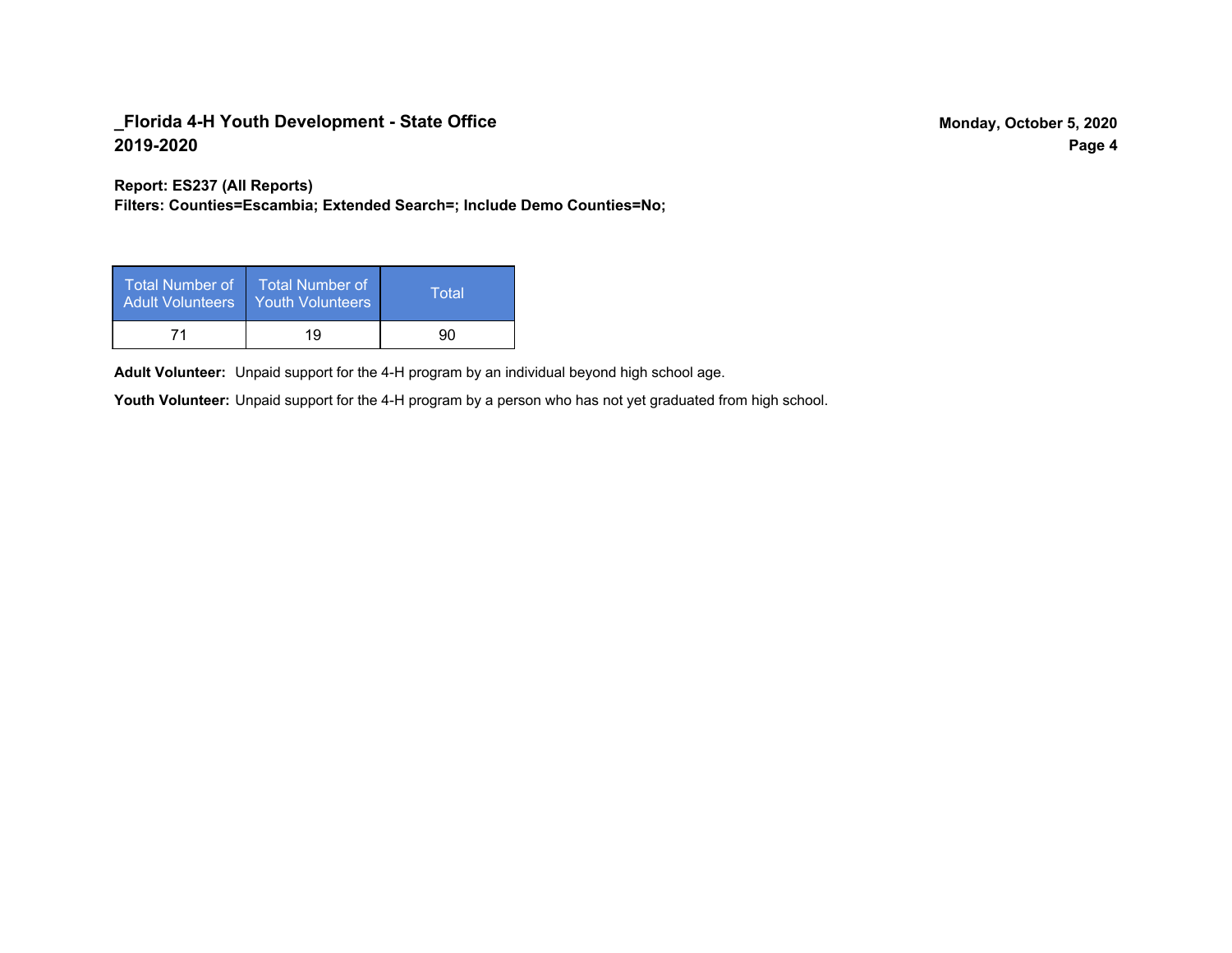**Report: ES237 (All Reports)**

**Filters: Counties=Escambia; Extended Search=; Include Demo Counties=No;**

| Total Number of<br>Adult Volunteers | <b>Total Number of</b><br>Youth Volunteers | Total |
|-------------------------------------|--------------------------------------------|-------|
| 71                                  | 19                                         | 90    |

Adult Volunteer: Unpaid support for the 4-H program by an individual beyond high school age.

Youth Volunteer: Unpaid support for the 4-H program by a person who has not yet graduated from high school.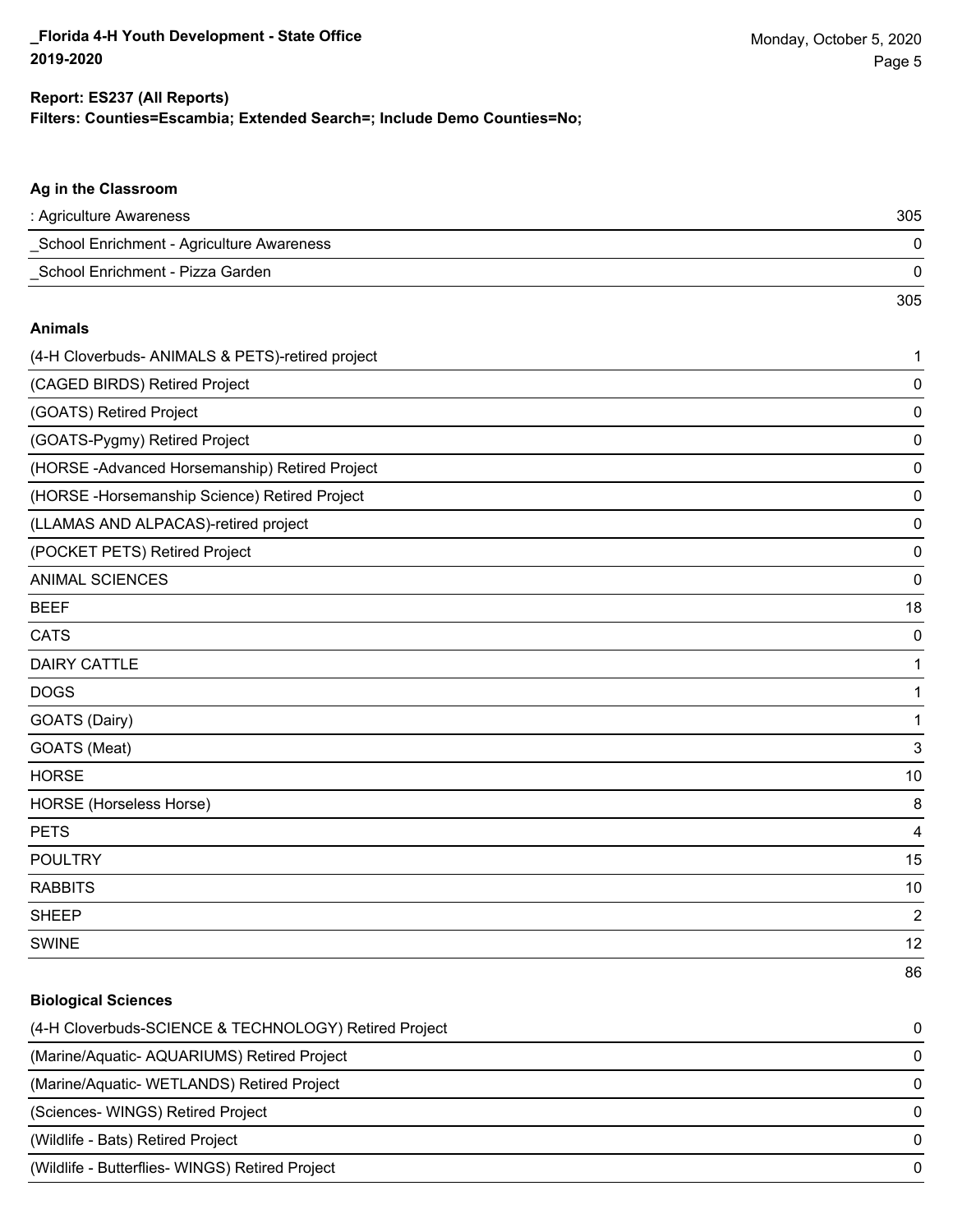#### **Filters: Counties=Escambia; Extended Search=; Include Demo Counties=No; Report: ES237 (All Reports)**

| Ag in the Classroom                                   |                         |
|-------------------------------------------------------|-------------------------|
| : Agriculture Awareness                               | 305                     |
| School Enrichment - Agriculture Awareness             | 0                       |
| School Enrichment - Pizza Garden                      | 0                       |
|                                                       | 305                     |
| <b>Animals</b>                                        |                         |
| (4-H Cloverbuds- ANIMALS & PETS)-retired project      | 1                       |
| (CAGED BIRDS) Retired Project                         | 0                       |
| (GOATS) Retired Project                               | 0                       |
| (GOATS-Pygmy) Retired Project                         | 0                       |
| (HORSE - Advanced Horsemanship) Retired Project       | 0                       |
| (HORSE-Horsemanship Science) Retired Project          | 0                       |
| (LLAMAS AND ALPACAS)-retired project                  | 0                       |
| (POCKET PETS) Retired Project                         | 0                       |
| <b>ANIMAL SCIENCES</b>                                | 0                       |
| <b>BEEF</b>                                           | 18                      |
| <b>CATS</b>                                           | 0                       |
| <b>DAIRY CATTLE</b>                                   | 1                       |
| <b>DOGS</b>                                           | 1                       |
| GOATS (Dairy)                                         | 1                       |
| GOATS (Meat)                                          | 3                       |
| <b>HORSE</b>                                          | 10                      |
| HORSE (Horseless Horse)                               | 8                       |
| <b>PETS</b>                                           | 4                       |
| <b>POULTRY</b>                                        | 15                      |
| <b>RABBITS</b>                                        | 10                      |
| <b>SHEEP</b>                                          | $\overline{\mathbf{c}}$ |
| <b>SWINE</b>                                          | 12                      |
|                                                       | 86                      |
| <b>Biological Sciences</b>                            |                         |
| (4-H Cloverbuds-SCIENCE & TECHNOLOGY) Retired Project | 0                       |
| (Marine/Aquatic- AQUARIUMS) Retired Project           | 0                       |

(Marine/Aquatic- WETLANDS) Retired Project 0 (Sciences- WINGS) Retired Project 0 (Wildlife - Bats) Retired Project 0 (Wildlife - Butterflies- WINGS) Retired Project 0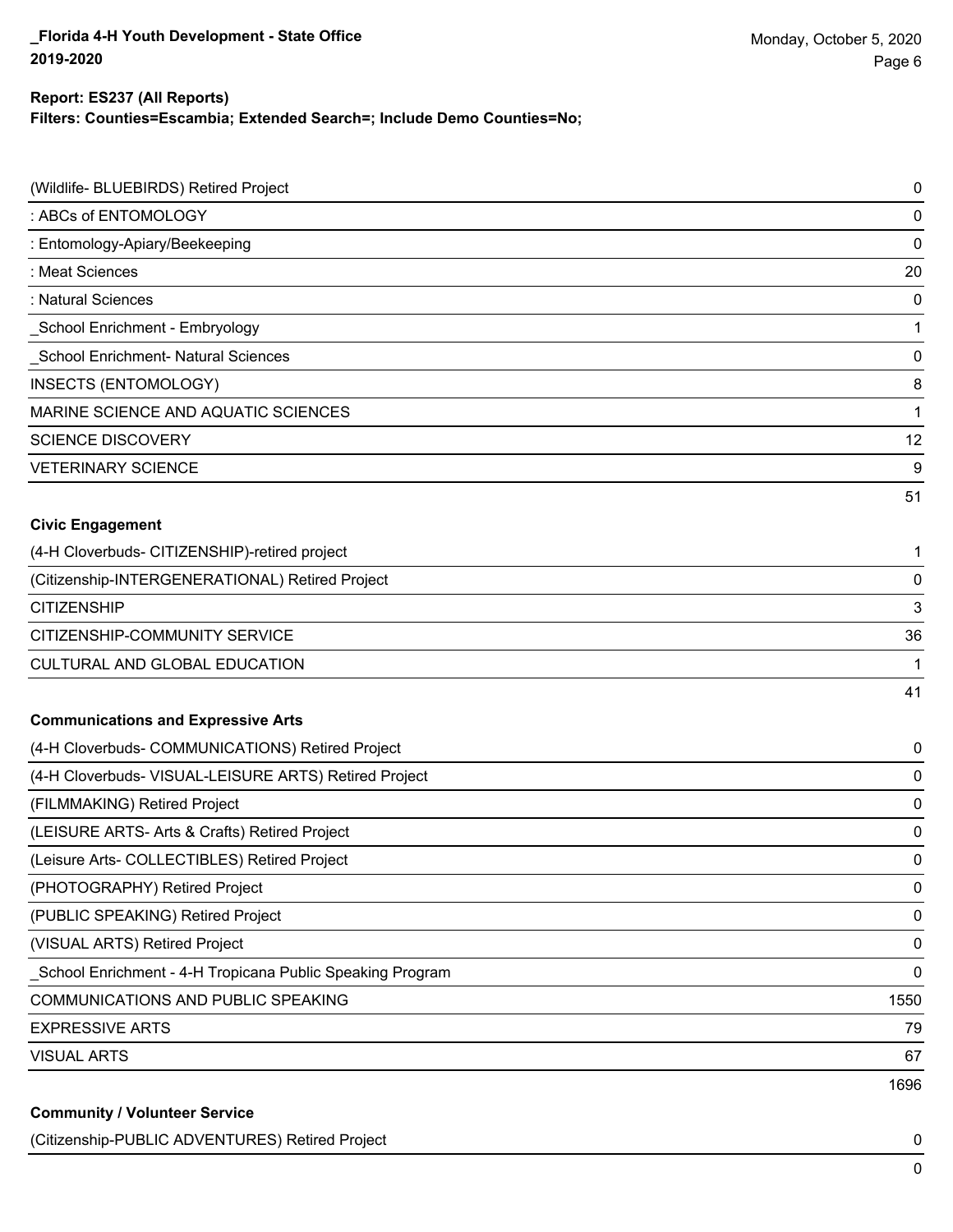**Filters: Counties=Escambia; Extended Search=; Include Demo Counties=No;**

| (Wildlife- BLUEBIRDS) Retired Project                     | $\pmb{0}$   |
|-----------------------------------------------------------|-------------|
| : ABCs of ENTOMOLOGY                                      | $\mathbf 0$ |
| : Entomology-Apiary/Beekeeping                            | $\mathbf 0$ |
| : Meat Sciences                                           | 20          |
| : Natural Sciences                                        | $\mathbf 0$ |
| School Enrichment - Embryology                            | 1           |
| School Enrichment- Natural Sciences                       | $\pmb{0}$   |
| INSECTS (ENTOMOLOGY)                                      | 8           |
| MARINE SCIENCE AND AQUATIC SCIENCES                       | 1           |
| <b>SCIENCE DISCOVERY</b>                                  | 12          |
| <b>VETERINARY SCIENCE</b>                                 | 9           |
|                                                           | 51          |
| <b>Civic Engagement</b>                                   |             |
| (4-H Cloverbuds- CITIZENSHIP)-retired project             | 1           |
| (Citizenship-INTERGENERATIONAL) Retired Project           | $\pmb{0}$   |
| <b>CITIZENSHIP</b>                                        | 3           |
| CITIZENSHIP-COMMUNITY SERVICE                             | 36          |
| CULTURAL AND GLOBAL EDUCATION                             | 1           |
|                                                           | 41          |
| <b>Communications and Expressive Arts</b>                 |             |
| (4-H Cloverbuds- COMMUNICATIONS) Retired Project          | 0           |
| (4-H Cloverbuds- VISUAL-LEISURE ARTS) Retired Project     | 0           |
| (FILMMAKING) Retired Project                              | $\mathbf 0$ |
| (LEISURE ARTS- Arts & Crafts) Retired Project             | 0           |
| (Leisure Arts- COLLECTIBLES) Retired Project              | $\mathbf 0$ |
| (PHOTOGRAPHY) Retired Project                             | 0           |
| (PUBLIC SPEAKING) Retired Project                         | 0           |
| (VISUAL ARTS) Retired Project                             | 0           |
| School Enrichment - 4-H Tropicana Public Speaking Program | 0           |
| COMMUNICATIONS AND PUBLIC SPEAKING                        | 1550        |
| <b>EXPRESSIVE ARTS</b>                                    | 79          |
| <b>VISUAL ARTS</b>                                        | 67          |
|                                                           | 1696        |
| <b>Community / Volunteer Service</b>                      |             |

(Citizenship-PUBLIC ADVENTURES) Retired Project 0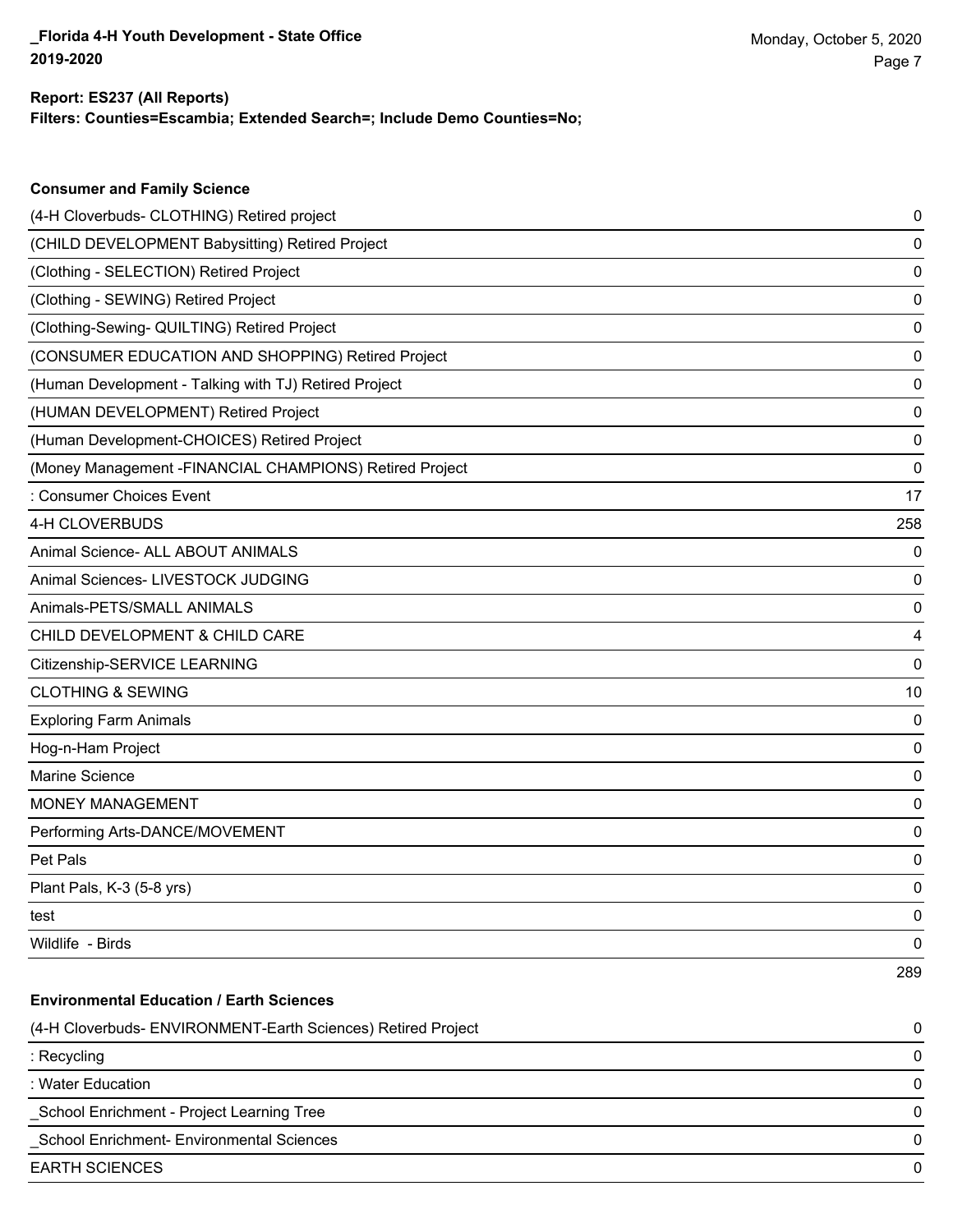**Consumer and Family Science**

**Filters: Counties=Escambia; Extended Search=; Include Demo Counties=No;**

| (4-H Cloverbuds- CLOTHING) Retired project                   | 0   |
|--------------------------------------------------------------|-----|
| (CHILD DEVELOPMENT Babysitting) Retired Project              | 0   |
| (Clothing - SELECTION) Retired Project                       | 0   |
| (Clothing - SEWING) Retired Project                          | 0   |
| (Clothing-Sewing- QUILTING) Retired Project                  | 0   |
| (CONSUMER EDUCATION AND SHOPPING) Retired Project            | 0   |
| (Human Development - Talking with TJ) Retired Project        | 0   |
| (HUMAN DEVELOPMENT) Retired Project                          | 0   |
| (Human Development-CHOICES) Retired Project                  | 0   |
| (Money Management - FINANCIAL CHAMPIONS) Retired Project     | 0   |
| : Consumer Choices Event                                     | 17  |
| 4-H CLOVERBUDS                                               | 258 |
| Animal Science- ALL ABOUT ANIMALS                            | 0   |
| Animal Sciences- LIVESTOCK JUDGING                           | 0   |
| Animals-PETS/SMALL ANIMALS                                   | 0   |
| CHILD DEVELOPMENT & CHILD CARE                               | 4   |
| Citizenship-SERVICE LEARNING                                 | 0   |
| <b>CLOTHING &amp; SEWING</b>                                 | 10  |
| <b>Exploring Farm Animals</b>                                | 0   |
| Hog-n-Ham Project                                            | 0   |
| Marine Science                                               | 0   |
| <b>MONEY MANAGEMENT</b>                                      | 0   |
| Performing Arts-DANCE/MOVEMENT                               | 0   |
| Pet Pals                                                     | 0   |
| Plant Pals, K-3 (5-8 yrs)                                    | 0   |
| test                                                         | 0   |
| Wildlife - Birds                                             | 0   |
|                                                              | 289 |
| <b>Environmental Education / Earth Sciences</b>              |     |
| (4-H Cloverbuds- ENVIRONMENT-Earth Sciences) Retired Project | 0   |
| : Recycling                                                  | 0   |
| : Water Education                                            | 0   |
| School Enrichment - Project Learning Tree                    | 0   |
| School Enrichment- Environmental Sciences                    | 0   |
| <b>EARTH SCIENCES</b>                                        | 0   |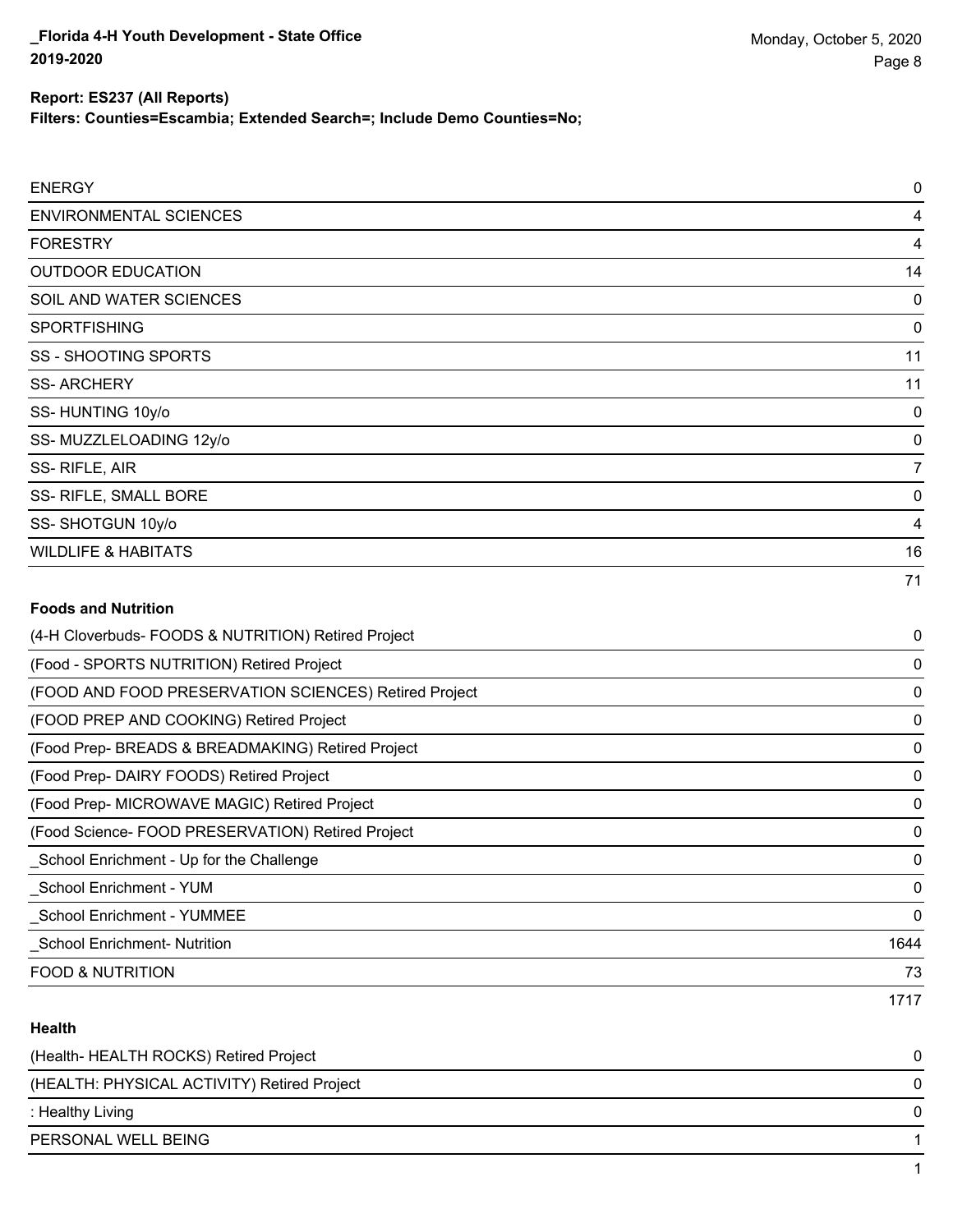**Filters: Counties=Escambia; Extended Search=; Include Demo Counties=No;**

| <b>ENERGY</b>                                         | 0    |
|-------------------------------------------------------|------|
| <b>ENVIRONMENTAL SCIENCES</b>                         | 4    |
| <b>FORESTRY</b>                                       | 4    |
| <b>OUTDOOR EDUCATION</b>                              | 14   |
| SOIL AND WATER SCIENCES                               | 0    |
| <b>SPORTFISHING</b>                                   | 0    |
| <b>SS - SHOOTING SPORTS</b>                           | 11   |
| <b>SS-ARCHERY</b>                                     | 11   |
| SS-HUNTING 10y/o                                      | 0    |
| SS-MUZZLELOADING 12y/o                                | 0    |
| SS-RIFLE, AIR                                         | 7    |
| SS- RIFLE, SMALL BORE                                 | 0    |
| SS-SHOTGUN 10y/o                                      | 4    |
| <b>WILDLIFE &amp; HABITATS</b>                        | 16   |
|                                                       | 71   |
| <b>Foods and Nutrition</b>                            |      |
| (4-H Cloverbuds- FOODS & NUTRITION) Retired Project   | 0    |
| (Food - SPORTS NUTRITION) Retired Project             | 0    |
| (FOOD AND FOOD PRESERVATION SCIENCES) Retired Project | 0    |
| (FOOD PREP AND COOKING) Retired Project               | 0    |
| (Food Prep- BREADS & BREADMAKING) Retired Project     | 0    |
| (Food Prep- DAIRY FOODS) Retired Project              | 0    |
| (Food Prep- MICROWAVE MAGIC) Retired Project          | 0    |
| (Food Science- FOOD PRESERVATION) Retired Project     | 0    |
| _School Enrichment - Up for the Challenge             | 0    |
| <b>School Enrichment - YUM</b>                        | 0    |
| _School Enrichment - YUMMEE                           | 0    |
| _School Enrichment- Nutrition                         | 1644 |
| <b>FOOD &amp; NUTRITION</b>                           | 73   |
|                                                       | 1717 |

#### **Health**

| (Health- HEALTH ROCKS) Retired Project      |          |
|---------------------------------------------|----------|
| (HEALTH: PHYSICAL ACTIVITY) Retired Project | $\Omega$ |
| : Healthy Living                            |          |
| PERSONAL WELL BEING                         |          |
|                                             |          |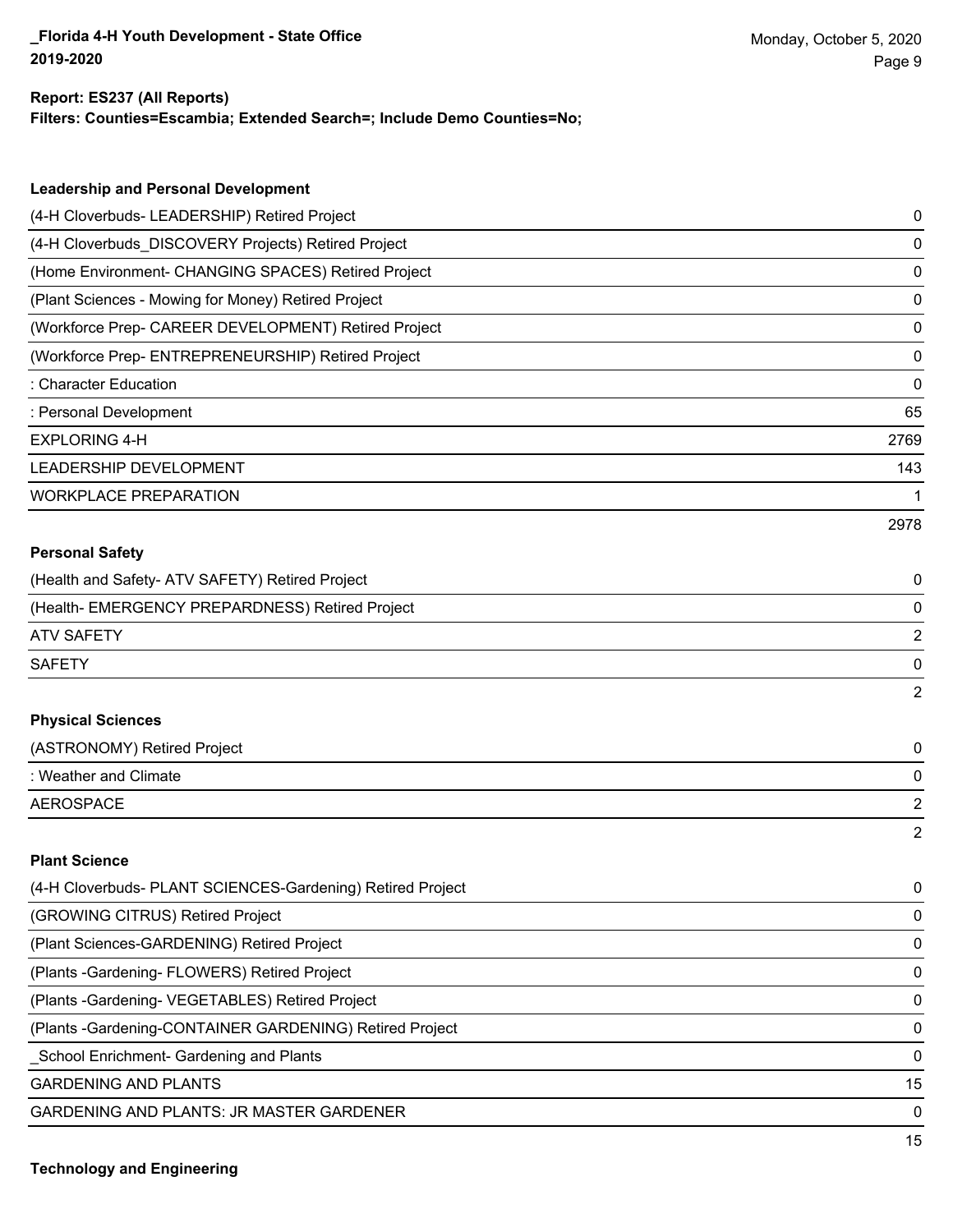**Filters: Counties=Escambia; Extended Search=; Include Demo Counties=No;**

| <b>Leadership and Personal Development</b>                 |                |
|------------------------------------------------------------|----------------|
| (4-H Cloverbuds- LEADERSHIP) Retired Project               | 0              |
| (4-H Cloverbuds_DISCOVERY Projects) Retired Project        | 0              |
| (Home Environment- CHANGING SPACES) Retired Project        | 0              |
| (Plant Sciences - Mowing for Money) Retired Project        | 0              |
| (Workforce Prep- CAREER DEVELOPMENT) Retired Project       | 0              |
| (Workforce Prep- ENTREPRENEURSHIP) Retired Project         | 0              |
| : Character Education                                      | 0              |
| : Personal Development                                     | 65             |
| <b>EXPLORING 4-H</b>                                       | 2769           |
| LEADERSHIP DEVELOPMENT                                     | 143            |
| <b>WORKPLACE PREPARATION</b>                               | 1              |
|                                                            | 2978           |
| <b>Personal Safety</b>                                     |                |
| (Health and Safety- ATV SAFETY) Retired Project            | 0              |
| (Health- EMERGENCY PREPARDNESS) Retired Project            | 0              |
| <b>ATV SAFETY</b>                                          | 2              |
| <b>SAFETY</b>                                              | 0              |
|                                                            | $\overline{2}$ |
| <b>Physical Sciences</b>                                   |                |
| (ASTRONOMY) Retired Project                                | 0              |
| : Weather and Climate                                      | 0              |
| <b>AEROSPACE</b>                                           | 2              |
|                                                            | 2              |
| <b>Plant Science</b>                                       |                |
| (4-H Cloverbuds- PLANT SCIENCES-Gardening) Retired Project | 0              |
| (GROWING CITRUS) Retired Project                           | 0              |
| (Plant Sciences-GARDENING) Retired Project                 | 0              |
| (Plants - Gardening - FLOWERS) Retired Project             | 0              |
| (Plants - Gardening - VEGETABLES) Retired Project          | 0              |

(Plants -Gardening-CONTAINER GARDENING) Retired Project 0

\_School Enrichment- Gardening and Plants 0

GARDENING AND PLANTS 15

GARDENING AND PLANTS: JR MASTER GARDENER 0